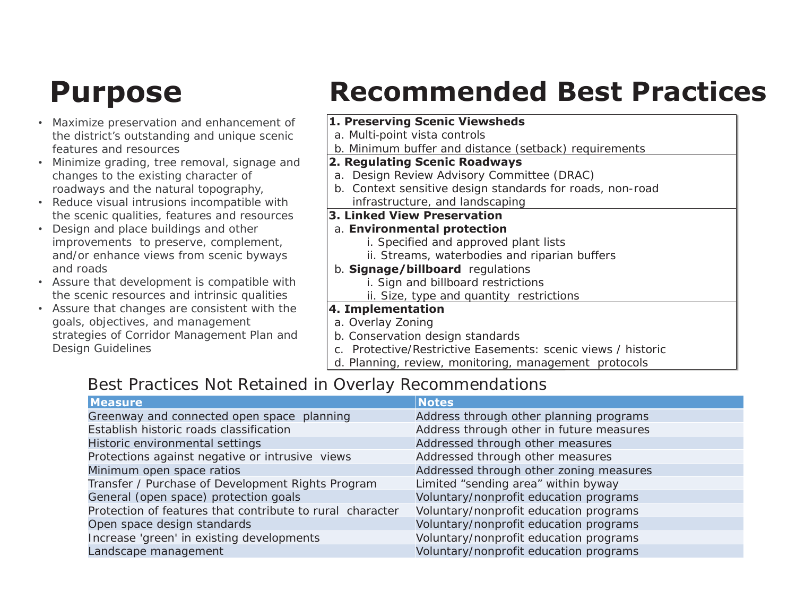- Maximize preservation and enhancement of the district's outstanding and unique scenic features and resources
- Minimize grading, tree removal, signage and changes to the existing character of roadways and the natural topography,
- Reduce visual intrusions incompatible with the scenic qualities, features and resources
- Design and place buildings and other improvements to preserve, complement, and/or enhance views from scenic byways and roads
- Assure that development is compatible with the scenic resources and intrinsic qualities
- Assure that changes are consistent with the goals, objectives, and management strategies of Corridor Management Plan and Design Guidelines

### **Purpose Recommended Best Practices**

### **1. Preserving Scenic Viewsheds**

- a. Multi-point vista controls
- b. Minimum buffer and distance (setback) requirements

### **2. Regulating Scenic Roadways**

- a. Design Review Advisory Committee (DRAC)
- b. Context sensitive design standards for roads, non-road infrastructure, and landscaping

### **3. Linked View Preservation**

### a. **Environmental protection**

- i. Specified and approved plant lists
- ii. Streams, waterbodies and riparian buffers
- b. **Signage/billboard** regulations
	- i. Sign and billboard restrictions
	- ii. Size, type and quantity restrictions

### **4. Implementation**

### a. Overlay Zoning

- b. Conservation design standards
- c. Protective/Restrictive Easements: scenic views / historic
- d. Planning, review, monitoring, management protocols

### Best Practices Not Retained in Overlay Recommendations

| <b>Measure</b>                                            | <b>Notes</b>                             |
|-----------------------------------------------------------|------------------------------------------|
| Greenway and connected open space planning                | Address through other planning programs  |
| Establish historic roads classification                   | Address through other in future measures |
| Historic environmental settings                           | Addressed through other measures         |
| Protections against negative or intrusive views           | Addressed through other measures         |
| Minimum open space ratios                                 | Addressed through other zoning measures  |
| Transfer / Purchase of Development Rights Program         | Limited "sending area" within byway      |
| General (open space) protection goals                     | Voluntary/nonprofit education programs   |
| Protection of features that contribute to rural character | Voluntary/nonprofit education programs   |
| Open space design standards                               | Voluntary/nonprofit education programs   |
| Increase 'green' in existing developments                 | Voluntary/nonprofit education programs   |
| Landscape management                                      | Voluntary/nonprofit education programs   |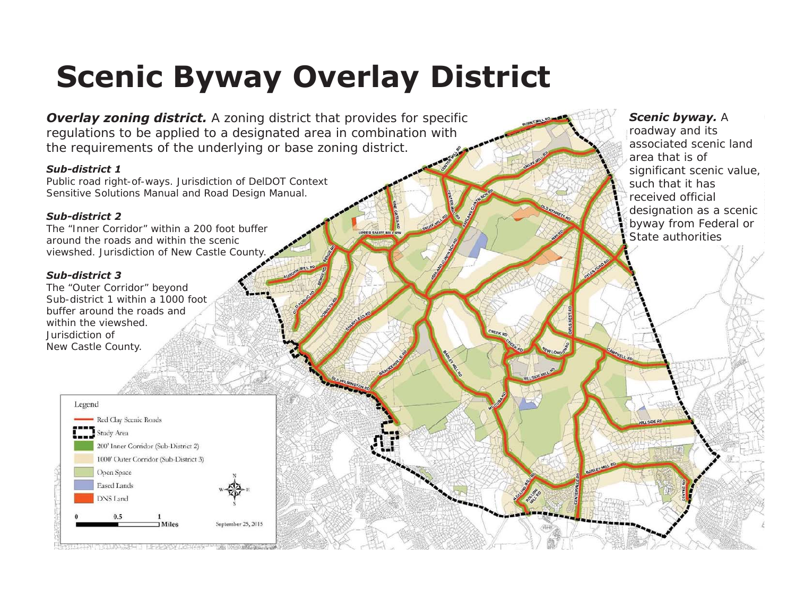### **Scenic Byway Overlay District**

**UPPER SNUFF M** 

**Overlay zoning district.** A zoning district that provides for specific regulations to be applied to a designated area in combination with the requirements of the underlying or base zoning district.

#### *Sub-district 1*

Public road right-of-ways. Jurisdiction of DelDOT Context Sensitive Solutions Manual and Road Design Manual.

#### *Sub-district 2*

The "Inner Corridor" within a 200 foot buffer around the roads and within the scenic viewshed. Jurisdiction of New Castle County.

#### *Sub-district 3*

The "Outer Corridor" beyond Sub-district 1 within a 1000 foot buffer around the roads andwithin the viewshed. Jurisdiction ofNew Castle County.



### *Scenic byway.* A

roadway and its associated scenic land area that is of significant scenic value, such that it has received official designation as a scenic byway from Federal or State authorities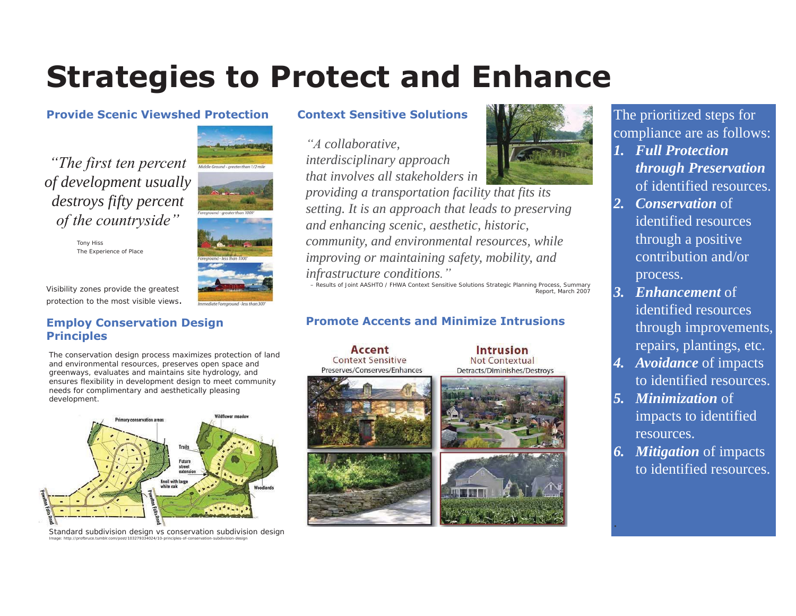### **Strategies to Protect and Enhance**

#### **Provide Scenic Viewshed Protection**

*"The first ten percent of development usually destroys fifty percent of the countryside"*

> Tony Hiss The Experience of Place

Visibility zones provide the greatest protection to the most visible views.

### **Employ Conservation Design Principles**

The conservation design process maximizes protection of land and environmental resources, preserves open space and greenways, evaluates and maintains site hydrology, and ensures flexibility in development design to meet community needs for complimentary and aesthetically pleasing development.



Standard subdivision design vs conservation subdivision design Image: http://profbruce.tumblr.com/post/103279334024/10-principles-of-conservation-subdivision-design

### **Context Sensitive Solutions**

*"A collaborative, interdisciplinary approach that involves all stakeholders in providing a transportation facility that fits its setting. It is an approach that leads to preserving and enhancing scenic, aesthetic, historic, community, and environmental resources, while improving or maintaining safety, mobility, and infrastructure conditions."*

– Results of Joint AASHTO / FHWA Context Sensitive Solutions Strategic Planning Process, Summary Report, March 2007

**Intrusion** 

Not Contextual

Detracts/Diminishes/Destroys

### **Promote Accents and Minimize Intrusions**

Accent **Context Sensitive** Preserves/Conserves/Enhances





The prioritized steps for compliance are as follows:

- *1. Full Protection through Preservation*  of identified resources.
- *2. Conservation* of identified resources through a positive contribution and/or process.
- *3. Enhancement* of identified resources through improvements, repairs, plantings, etc.
- *4. Avoidance* of impacts to identified resources.
- *5. Minimization* of impacts to identified resources.
- *6. Mitigation* of impacts to identified resources.

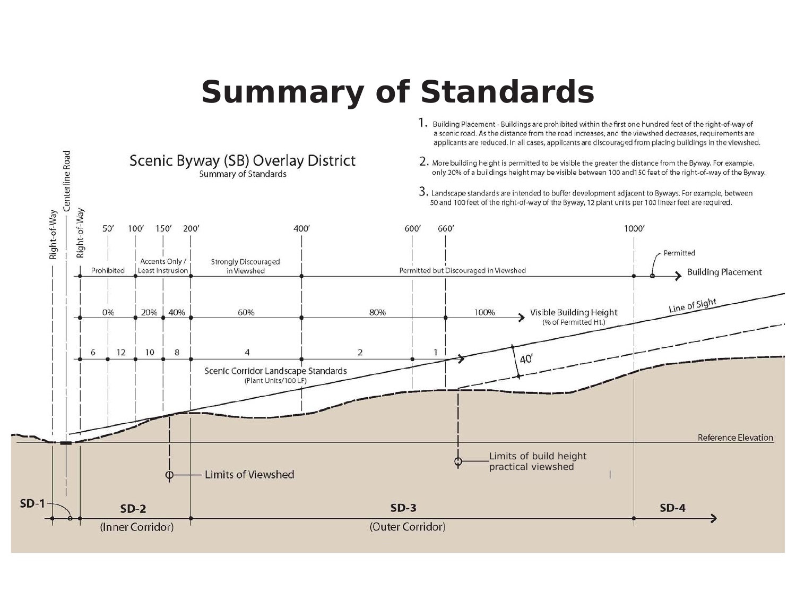### **Summary of Standards**